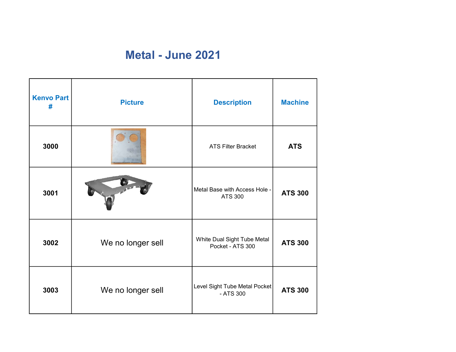## Metal - June 2021

| <b>Kenvo Part</b><br># | <b>Picture</b>    | <b>Description</b>                              | <b>Machine</b> |
|------------------------|-------------------|-------------------------------------------------|----------------|
| 3000                   |                   | <b>ATS Filter Bracket</b>                       | <b>ATS</b>     |
| 3001                   |                   | Metal Base with Access Hole -<br><b>ATS 300</b> | <b>ATS 300</b> |
| 3002                   | We no longer sell | White Dual Sight Tube Metal<br>Pocket - ATS 300 | <b>ATS 300</b> |
| 3003                   | We no longer sell | Level Sight Tube Metal Pocket<br>- ATS 300      | <b>ATS 300</b> |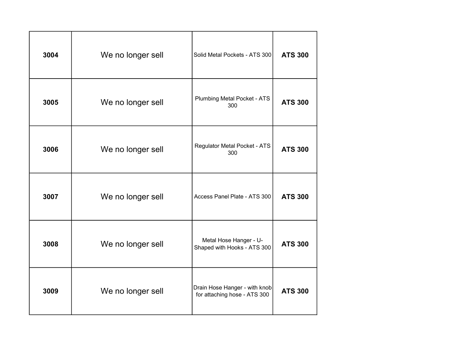| 3004 | We no longer sell | Solid Metal Pockets - ATS 300                                 | <b>ATS 300</b> |
|------|-------------------|---------------------------------------------------------------|----------------|
| 3005 | We no longer sell | <b>Plumbing Metal Pocket - ATS</b><br>300                     | <b>ATS 300</b> |
| 3006 | We no longer sell | <b>Regulator Metal Pocket - ATS</b><br>300                    | <b>ATS 300</b> |
| 3007 | We no longer sell | Access Panel Plate - ATS 300                                  | <b>ATS 300</b> |
| 3008 | We no longer sell | Metal Hose Hanger - U-<br>Shaped with Hooks - ATS 300         | <b>ATS 300</b> |
| 3009 | We no longer sell | Drain Hose Hanger - with knob<br>for attaching hose - ATS 300 | <b>ATS 300</b> |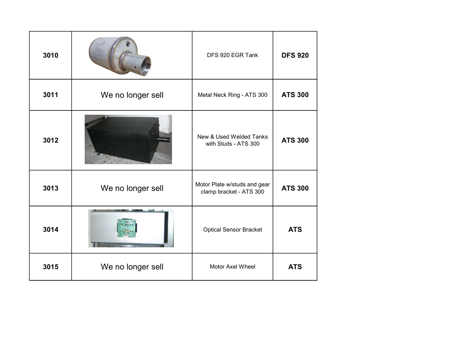| 3010 |                   | DFS 920 EGR Tank                                        | <b>DFS 920</b> |
|------|-------------------|---------------------------------------------------------|----------------|
| 3011 | We no longer sell | Metal Neck Ring - ATS 300                               | <b>ATS 300</b> |
| 3012 |                   | New & Used Welded Tanks<br>with Studs - ATS 300         | <b>ATS 300</b> |
| 3013 | We no longer sell | Motor Plate w/studs and gear<br>clamp bracket - ATS 300 | <b>ATS 300</b> |
| 3014 |                   | <b>Optical Sensor Bracket</b>                           | <b>ATS</b>     |
| 3015 | We no longer sell | Motor Axel Wheel                                        | <b>ATS</b>     |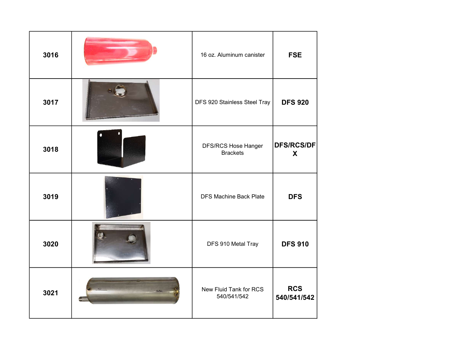| 3016 | 16 oz. Aluminum canister               | <b>FSE</b>                |
|------|----------------------------------------|---------------------------|
| 3017 | DFS 920 Stainless Steel Tray           | <b>DFS 920</b>            |
| 3018 | DFS/RCS Hose Hanger<br><b>Brackets</b> | <b>DFS/RCS/DF</b><br>X    |
| 3019 | <b>DFS Machine Back Plate</b>          | <b>DFS</b>                |
| 3020 | DFS 910 Metal Tray                     | <b>DFS 910</b>            |
| 3021 | New Fluid Tank for RCS<br>540/541/542  | <b>RCS</b><br>540/541/542 |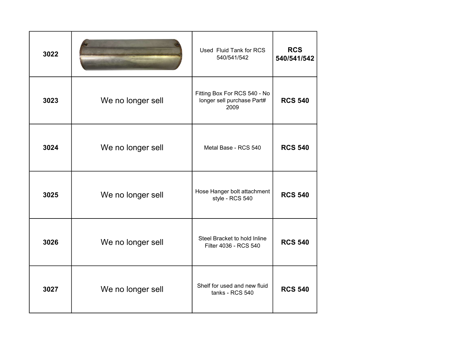| 3022 |                   | Used Fluid Tank for RCS<br>540/541/542                             | <b>RCS</b><br>540/541/542 |
|------|-------------------|--------------------------------------------------------------------|---------------------------|
| 3023 | We no longer sell | Fitting Box For RCS 540 - No<br>longer sell purchase Part#<br>2009 | <b>RCS 540</b>            |
| 3024 | We no longer sell | Metal Base - RCS 540                                               | <b>RCS 540</b>            |
| 3025 | We no longer sell | Hose Hanger bolt attachment<br>style - RCS 540                     | <b>RCS 540</b>            |
| 3026 | We no longer sell | Steel Bracket to hold Inline<br>Filter 4036 - RCS 540              | <b>RCS 540</b>            |
| 3027 | We no longer sell | Shelf for used and new fluid<br>tanks - RCS 540                    | <b>RCS 540</b>            |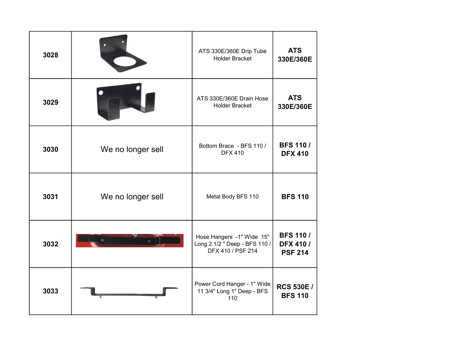| 3028 |                   | ATS 330E/360E Drip Tube<br><b>Holder Bracket</b>                                | <b>ATS</b><br>330E/360E                               |
|------|-------------------|---------------------------------------------------------------------------------|-------------------------------------------------------|
| 3029 |                   | ATS 330E/360E Drain Hose<br><b>Holder Bracket</b>                               | <b>ATS</b><br>330E/360E                               |
| 3030 | We no longer sell | Bottom Brace - BFS 110 /<br><b>DFX 410</b>                                      | <b>BFS 110/</b><br><b>DFX 410</b>                     |
| 3031 | We no longer sell | Metal Body BFS 110                                                              | <b>BFS 110</b>                                        |
| 3032 |                   | Hose Hangers -1" Wide 15"<br>Long 2 1/2 " Deep - BFS 110 /<br>DFX 410 / PSF 214 | <b>BFS 110/</b><br><b>DFX 410 /</b><br><b>PSF 214</b> |
| 3033 |                   | Power Cord Hanger - 1" Wide<br>11 3/4" Long 1" Deep - BFS<br>110                | <b>RCS 530E /</b><br><b>BFS 110</b>                   |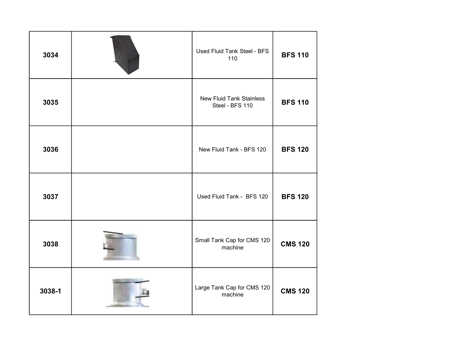| 3034   | Used Fluid Tank Steel - BFS<br>110                 | <b>BFS 110</b> |
|--------|----------------------------------------------------|----------------|
| 3035   | <b>New Fluid Tank Stainless</b><br>Steel - BFS 110 | <b>BFS 110</b> |
| 3036   | New Fluid Tank - BFS 120                           | <b>BFS 120</b> |
| 3037   | Used Fluid Tank - BFS 120                          | <b>BFS 120</b> |
| 3038   | Small Tank Cap for CMS 120<br>machine              | <b>CMS 120</b> |
| 3038-1 | Large Tank Cap for CMS 120<br>machine              | <b>CMS 120</b> |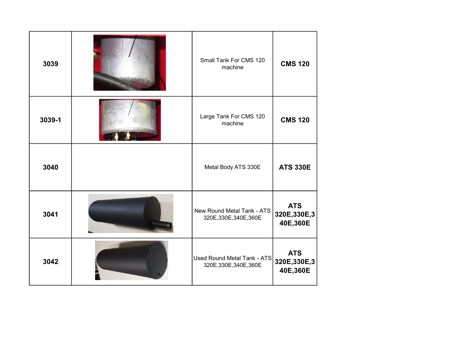| 3039   | Small Tank For CMS 120<br>machine                     | <b>CMS 120</b>                          |
|--------|-------------------------------------------------------|-----------------------------------------|
| 3039-1 | Large Tank For CMS 120<br>machine                     | <b>CMS 120</b>                          |
| 3040   | Metal Body ATS 330E                                   | <b>ATS 330E</b>                         |
| 3041   | New Round Metal Tank - ATS<br>320E, 330E, 340E, 360E  | <b>ATS</b><br>320E,330E,3<br>40E,360E   |
| 3042   | Used Round Metal Tank - ATS<br>320E, 330E, 340E, 360E | <b>ATS</b><br>320E, 330E, 3<br>40E,360E |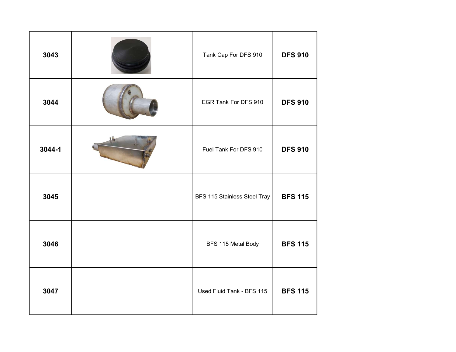| 3043   | Tank Cap For DFS 910         | <b>DFS 910</b> |
|--------|------------------------------|----------------|
| 3044   | EGR Tank For DFS 910         | <b>DFS 910</b> |
| 3044-1 | Fuel Tank For DFS 910        | <b>DFS 910</b> |
| 3045   | BFS 115 Stainless Steel Tray | <b>BFS 115</b> |
| 3046   | BFS 115 Metal Body           | <b>BFS 115</b> |
| 3047   | Used Fluid Tank - BFS 115    | <b>BFS 115</b> |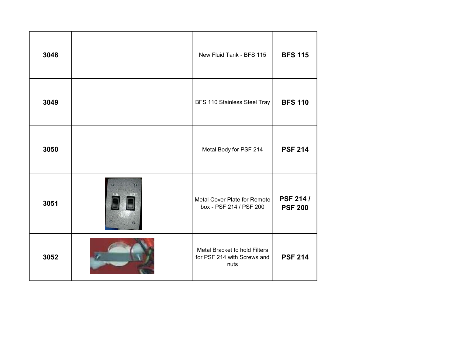| 3048 |                  | New Fluid Tank - BFS 115                                             | <b>BFS 115</b>                     |
|------|------------------|----------------------------------------------------------------------|------------------------------------|
| 3049 |                  | BFS 110 Stainless Steel Tray                                         | <b>BFS 110</b>                     |
| 3050 |                  | Metal Body for PSF 214                                               | <b>PSF 214</b>                     |
| 3051 | $\bullet$<br>NEW | Metal Cover Plate for Remote<br>box - PSF 214 / PSF 200              | <b>PSF 214 /</b><br><b>PSF 200</b> |
| 3052 |                  | Metal Bracket to hold Filters<br>for PSF 214 with Screws and<br>nuts | <b>PSF 214</b>                     |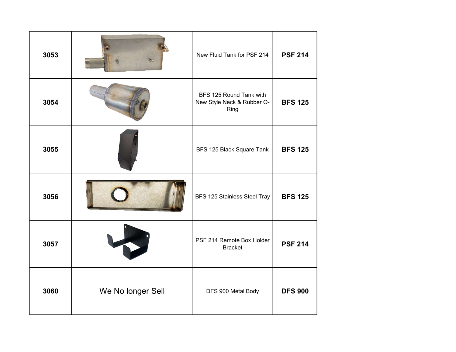| 3053 |                   | New Fluid Tank for PSF 214                                    | <b>PSF 214</b> |
|------|-------------------|---------------------------------------------------------------|----------------|
| 3054 |                   | BFS 125 Round Tank with<br>New Style Neck & Rubber O-<br>Ring | <b>BFS 125</b> |
| 3055 |                   | BFS 125 Black Square Tank                                     | <b>BFS 125</b> |
| 3056 |                   | BFS 125 Stainless Steel Tray                                  | <b>BFS 125</b> |
| 3057 |                   | PSF 214 Remote Box Holder<br><b>Bracket</b>                   | <b>PSF 214</b> |
| 3060 | We No longer Sell | DFS 900 Metal Body                                            | <b>DFS 900</b> |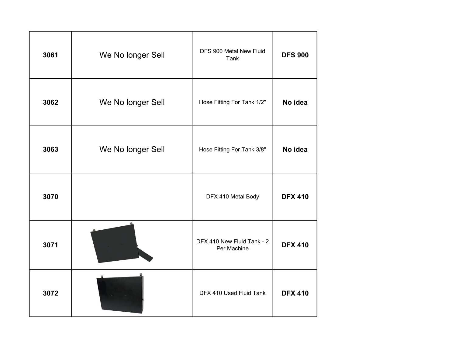| 3061 | We No longer Sell | DFS 900 Metal New Fluid<br>Tank           | <b>DFS 900</b> |
|------|-------------------|-------------------------------------------|----------------|
| 3062 | We No longer Sell | Hose Fitting For Tank 1/2"                | No idea        |
| 3063 | We No longer Sell | Hose Fitting For Tank 3/8"                | No idea        |
| 3070 |                   | DFX 410 Metal Body                        | <b>DFX 410</b> |
| 3071 |                   | DFX 410 New Fluid Tank - 2<br>Per Machine | <b>DFX 410</b> |
| 3072 |                   | DFX 410 Used Fluid Tank                   | <b>DFX 410</b> |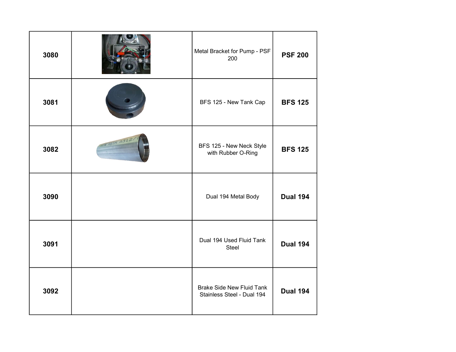| 3080 |                | Metal Bracket for Pump - PSF<br>200                            | <b>PSF 200</b>  |
|------|----------------|----------------------------------------------------------------|-----------------|
| 3081 |                | BFS 125 - New Tank Cap                                         | <b>BFS 125</b>  |
| 3082 | NOX ASTM A312/ | BFS 125 - New Neck Style<br>with Rubber O-Ring                 | <b>BFS 125</b>  |
| 3090 |                | Dual 194 Metal Body                                            | <b>Dual 194</b> |
| 3091 |                | Dual 194 Used Fluid Tank<br>Steel                              | <b>Dual 194</b> |
| 3092 |                | <b>Brake Side New Fluid Tank</b><br>Stainless Steel - Dual 194 | <b>Dual 194</b> |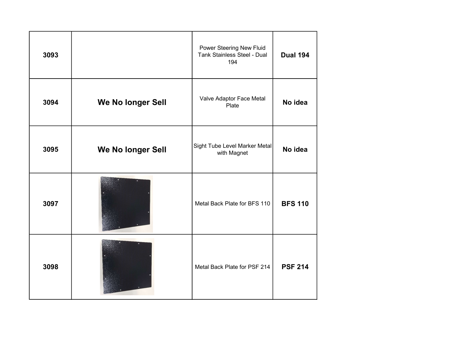| 3093 |                   | Power Steering New Fluid<br>Tank Stainless Steel - Dual<br>194 | <b>Dual 194</b> |
|------|-------------------|----------------------------------------------------------------|-----------------|
| 3094 | We No longer Sell | Valve Adaptor Face Metal<br>Plate                              | No idea         |
| 3095 | We No longer Sell | Sight Tube Level Marker Metal<br>with Magnet                   | No idea         |
| 3097 |                   | Metal Back Plate for BFS 110                                   | <b>BFS 110</b>  |
| 3098 |                   | Metal Back Plate for PSF 214                                   | <b>PSF 214</b>  |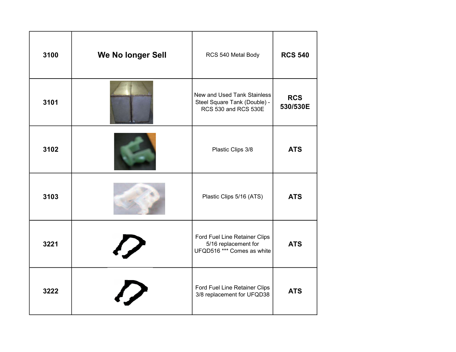| 3100 | We No longer Sell | RCS 540 Metal Body                                                                  | <b>RCS 540</b>         |
|------|-------------------|-------------------------------------------------------------------------------------|------------------------|
| 3101 |                   | New and Used Tank Stainless<br>Steel Square Tank (Double) -<br>RCS 530 and RCS 530E | <b>RCS</b><br>530/530E |
| 3102 |                   | Plastic Clips 3/8                                                                   | <b>ATS</b>             |
| 3103 |                   | Plastic Clips 5/16 (ATS)                                                            | <b>ATS</b>             |
| 3221 |                   | Ford Fuel Line Retainer Clips<br>5/16 replacement for<br>UFQD516 *** Comes as white | <b>ATS</b>             |
| 3222 |                   | Ford Fuel Line Retainer Clips<br>3/8 replacement for UFQD38                         | <b>ATS</b>             |